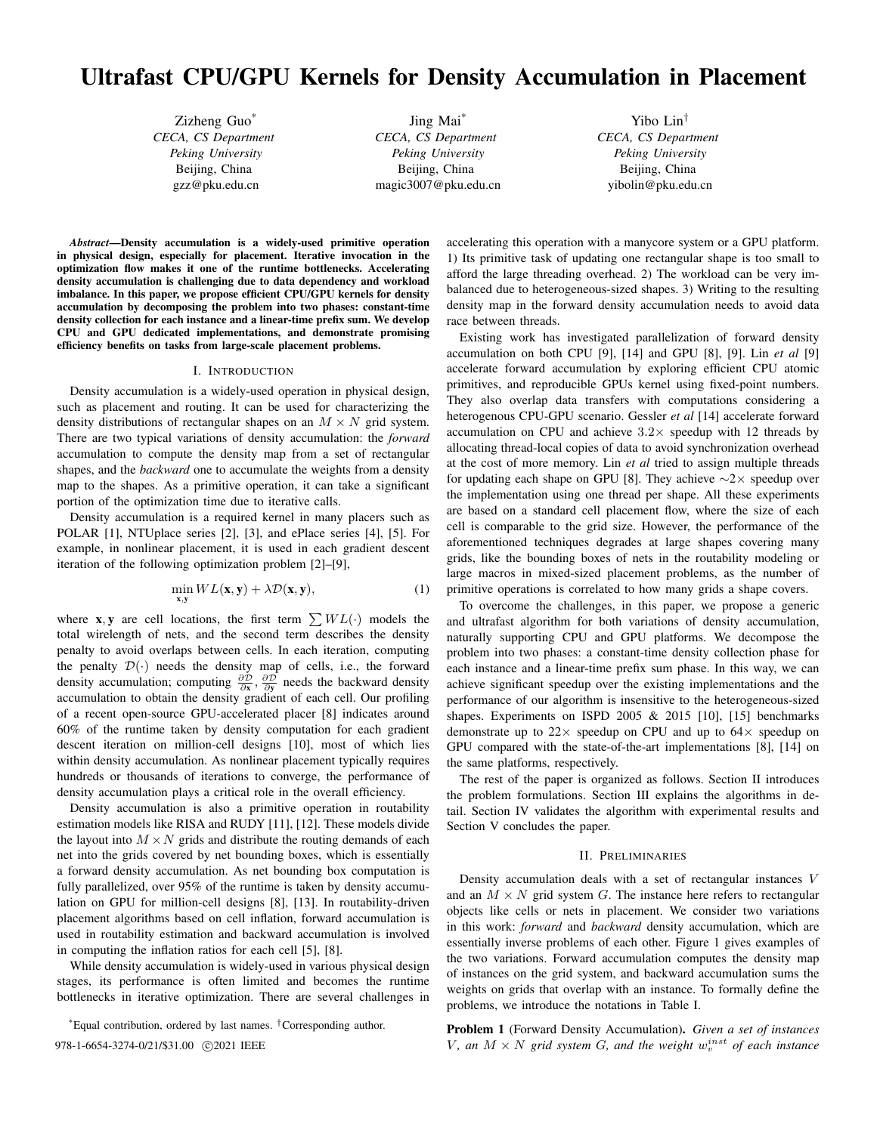# Ultrafast CPU/GPU Kernels for Density Accumulation in Placement

Zizheng Guo\* *CECA, CS Department Peking University* Beijing, China gzz@pku.edu.cn

Jing Mai\* *CECA, CS Department Peking University* Beijing, China magic3007@pku.edu.cn

Yibo Lin† *CECA, CS Department Peking University* Beijing, China yibolin@pku.edu.cn

*Abstract*—Density accumulation is a widely-used primitive operation in physical design, especially for placement. Iterative invocation in the optimization flow makes it one of the runtime bottlenecks. Accelerating density accumulation is challenging due to data dependency and workload imbalance. In this paper, we propose efficient CPU/GPU kernels for density accumulation by decomposing the problem into two phases: constant-time density collection for each instance and a linear-time prefix sum. We develop CPU and GPU dedicated implementations, and demonstrate promising efficiency benefits on tasks from large-scale placement problems.

## I. INTRODUCTION

Density accumulation is a widely-used operation in physical design, such as placement and routing. It can be used for characterizing the density distributions of rectangular shapes on an  $M \times N$  grid system. There are two typical variations of density accumulation: the *forward* accumulation to compute the density map from a set of rectangular shapes, and the *backward* one to accumulate the weights from a density map to the shapes. As a primitive operation, it can take a significant portion of the optimization time due to iterative calls.

Density accumulation is a required kernel in many placers such as POLAR [1], NTUplace series [2], [3], and ePlace series [4], [5]. For example, in nonlinear placement, it is used in each gradient descent iteration of the following optimization problem [2]–[9],

$$
\min_{\mathbf{x}, \mathbf{y}} WL(\mathbf{x}, \mathbf{y}) + \lambda \mathcal{D}(\mathbf{x}, \mathbf{y}),
$$
\n(1)

where **x**, **y** are cell locations, the first term  $\sum W L(\cdot)$  models the total wirelength of nets, and the second term describes the density penalty to avoid overlaps between cells. In each iteration, computing the penalty  $\mathcal{D}(\cdot)$  needs the density map of cells, i.e., the forward density accumulation; computing  $\frac{\partial \mathcal{D}}{\partial x}$ ,  $\frac{\partial \mathcal{D}}{\partial y}$  needs the backward density accumulation to obtain the density gradient of each cell. Our profiling of a recent open-source GPU-accelerated placer [8] indicates around 60% of the runtime taken by density computation for each gradient descent iteration on million-cell designs [10], most of which lies within density accumulation. As nonlinear placement typically requires hundreds or thousands of iterations to converge, the performance of density accumulation plays a critical role in the overall efficiency.

Density accumulation is also a primitive operation in routability estimation models like RISA and RUDY [11], [12]. These models divide the layout into  $M \times N$  grids and distribute the routing demands of each net into the grids covered by net bounding boxes, which is essentially a forward density accumulation. As net bounding box computation is fully parallelized, over 95% of the runtime is taken by density accumulation on GPU for million-cell designs [8], [13]. In routability-driven placement algorithms based on cell inflation, forward accumulation is used in routability estimation and backward accumulation is involved in computing the inflation ratios for each cell [5], [8].

While density accumulation is widely-used in various physical design stages, its performance is often limited and becomes the runtime bottlenecks in iterative optimization. There are several challenges in

\*Equal contribution, ordered by last names. †Corresponding author.

accelerating this operation with a manycore system or a GPU platform. 1) Its primitive task of updating one rectangular shape is too small to afford the large threading overhead. 2) The workload can be very imbalanced due to heterogeneous-sized shapes. 3) Writing to the resulting density map in the forward density accumulation needs to avoid data race between threads.

Existing work has investigated parallelization of forward density accumulation on both CPU [9], [14] and GPU [8], [9]. Lin *et al* [9] accelerate forward accumulation by exploring efficient CPU atomic primitives, and reproducible GPUs kernel using fixed-point numbers. They also overlap data transfers with computations considering a heterogenous CPU-GPU scenario. Gessler *et al* [14] accelerate forward accumulation on CPU and achieve  $3.2\times$  speedup with 12 threads by allocating thread-local copies of data to avoid synchronization overhead at the cost of more memory. Lin *et al* tried to assign multiple threads for updating each shape on GPU [8]. They achieve  $\sim$ 2× speedup over the implementation using one thread per shape. All these experiments are based on a standard cell placement flow, where the size of each cell is comparable to the grid size. However, the performance of the aforementioned techniques degrades at large shapes covering many grids, like the bounding boxes of nets in the routability modeling or large macros in mixed-sized placement problems, as the number of primitive operations is correlated to how many grids a shape covers.

To overcome the challenges, in this paper, we propose a generic and ultrafast algorithm for both variations of density accumulation, naturally supporting CPU and GPU platforms. We decompose the problem into two phases: a constant-time density collection phase for each instance and a linear-time prefix sum phase. In this way, we can achieve significant speedup over the existing implementations and the performance of our algorithm is insensitive to the heterogeneous-sized shapes. Experiments on ISPD 2005 & 2015 [10], [15] benchmarks demonstrate up to  $22 \times$  speedup on CPU and up to  $64 \times$  speedup on GPU compared with the state-of-the-art implementations [8], [14] on the same platforms, respectively.

The rest of the paper is organized as follows. Section II introduces the problem formulations. Section III explains the algorithms in detail. Section IV validates the algorithm with experimental results and Section V concludes the paper.

#### II. PRELIMINARIES

Density accumulation deals with a set of rectangular instances V and an  $M \times N$  grid system G. The instance here refers to rectangular objects like cells or nets in placement. We consider two variations in this work: *forward* and *backward* density accumulation, which are essentially inverse problems of each other. Figure 1 gives examples of the two variations. Forward accumulation computes the density map of instances on the grid system, and backward accumulation sums the weights on grids that overlap with an instance. To formally define the problems, we introduce the notations in Table I.

Problem 1 (Forward Density Accumulation). *Given a set of instances*  $V$ , an  $M \times N$  grid system  $G$ , and the weight  $w_v^{inst}$  of each instance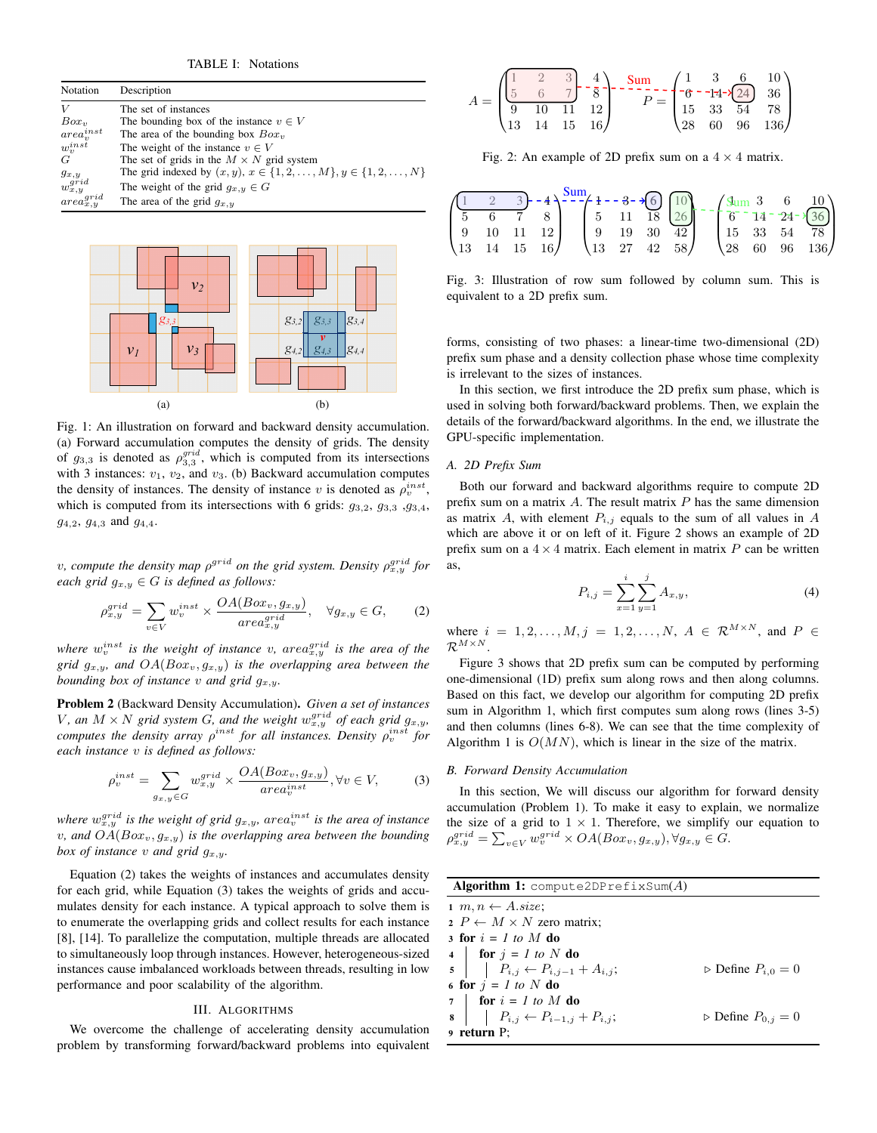TABLE I: Notations

| Notation            | Description                                                                  |
|---------------------|------------------------------------------------------------------------------|
| V                   | The set of instances                                                         |
| Box <sub>v</sub>    | The bounding box of the instance $v \in V$                                   |
| $area_{v}^{inst}$   | The area of the bounding box $Box_v$                                         |
| $w_n^{inst}$        | The weight of the instance $v \in V$                                         |
| G                   | The set of grids in the $M \times N$ grid system                             |
| $g_{x,y}$           | The grid indexed by $(x, y)$ , $x \in \{1, 2, , M\}$ , $y \in \{1, 2, , N\}$ |
| $w_{x,y}^{grid}$    | The weight of the grid $q_{x,y} \in G$                                       |
| $area^{grid}_{x,y}$ | The area of the grid $g_{x,y}$                                               |



Fig. 1: An illustration on forward and backward density accumulation. (a) Forward accumulation computes the density of grids. The density of  $g_{3,3}$  is denoted as  $\rho_{3,3}^{grid}$ , which is computed from its intersections with 3 instances:  $v_1$ ,  $v_2$ , and  $v_3$ . (b) Backward accumulation computes the density of instances. The density of instance v is denoted as  $\rho_v^{inst}$ , which is computed from its intersections with 6 grids:  $q_{3,2}$ ,  $q_{3,3}$ ,  $q_{3,4}$ ,  $g_{4,2}, g_{4,3}$  and  $g_{4,4}$ .

v, compute the density map  $\rho^{grid}$  on the grid system. Density  $\rho_{x,y}^{grid}$  for *each grid*  $g_{x,y} \in G$  *is defined as follows:* 

$$
\rho_{x,y}^{grid} = \sum_{v \in V} w_v^{inst} \times \frac{OA(Box_v, g_{x,y})}{area_{x,y}^{grid}}, \quad \forall g_{x,y} \in G,
$$
 (2)

where  $w_v^{inst}$  is the weight of instance v,  $area_{x,y}^{grid}$  is the area of the *grid*  $g_{x,y}$ *, and*  $OA(Box_v, g_{x,y})$  *is the overlapping area between the bounding box of instance* v and grid  $q_{x,y}$ .

Problem 2 (Backward Density Accumulation). *Given a set of instances* V, an  $M \times N$  grid system G, and the weight  $w_{x,y}^{grid}$  of each grid  $g_{x,y}$ , *computes the density array*  $\rho^{inst}$  for all instances. Density  $\rho_v^{inst}$  for *each instance* v *is defined as follows:*

$$
\rho_v^{inst} = \sum_{g_{x,y} \in G} w_{x,y}^{grid} \times \frac{OA(Box_v, g_{x,y})}{area_v^{inst}}, \forall v \in V,
$$
 (3)

where  $w_{x,y}^{grid}$  is the weight of grid  $g_{x,y}$ , are $a_v^{inst}$  is the area of instance *v*, and  $OA(Box_v, g_{x,y})$  *is the overlapping area between the bounding box of instance* v *and grid*  $g_{x,y}$ *.* 

Equation (2) takes the weights of instances and accumulates density for each grid, while Equation (3) takes the weights of grids and accumulates density for each instance. A typical approach to solve them is to enumerate the overlapping grids and collect results for each instance [8], [14]. To parallelize the computation, multiple threads are allocated to simultaneously loop through instances. However, heterogeneous-sized instances cause imbalanced workloads between threads, resulting in low performance and poor scalability of the algorithm.

## III. ALGORITHMS

We overcome the challenge of accelerating density accumulation problem by transforming forward/backward problems into equivalent

|  |  |                                                   | $\begin{pmatrix} 1 & 2 & 3 \ 5 & 6 & 7 \ 9 & 10 & 11 & 12 \ \end{pmatrix}$ |  |                                                    |
|--|--|---------------------------------------------------|----------------------------------------------------------------------------|--|----------------------------------------------------|
|  |  |                                                   |                                                                            |  |                                                    |
|  |  |                                                   |                                                                            |  |                                                    |
|  |  | $\begin{bmatrix} 13 & 14 & 15 & 16 \end{bmatrix}$ |                                                                            |  | $\begin{pmatrix} 28 & 60 & 96 & 136 \end{pmatrix}$ |

Fig. 2: An example of 2D prefix sum on a  $4 \times 4$  matrix.

|  |                                                                       |  |  |  |                                                   |  |  | $\begin{pmatrix}\n1 & 2 & 3 \\ 5 & 6 & 7 & 8 \\ 9 & 10 & 11 & 12 \\ 13 & 14 & 15 & 16\n\end{pmatrix}\n\xrightarrow{\text{Sum}}\n\begin{pmatrix}\n1 & -3 & \sqrt[3]{6} & 10 \\ 5 & 11 & 18 & 26 \\ 9 & 19 & 30 & 42 \\ 13 & 27 & 42 & 58\n\end{pmatrix}\n\xrightarrow{\text{Sum}}\n\begin{pmatrix}\n3 & 6 & 10 \\ 6 & 14 & 24 & \sqrt{36} \\ 15 & 33 & 54 & 78 \\ 28 & 60 & 96 & 136\n\end$ |
|--|-----------------------------------------------------------------------|--|--|--|---------------------------------------------------|--|--|--------------------------------------------------------------------------------------------------------------------------------------------------------------------------------------------------------------------------------------------------------------------------------------------------------------------------------------------------------------------------------------------|
|  |                                                                       |  |  |  |                                                   |  |  |                                                                                                                                                                                                                                                                                                                                                                                            |
|  | $\begin{pmatrix} 9 & 10 & 11 & 12 \\ 13 & 14 & 15 & 16 \end{pmatrix}$ |  |  |  |                                                   |  |  |                                                                                                                                                                                                                                                                                                                                                                                            |
|  |                                                                       |  |  |  | $\begin{pmatrix} 13 & 27 & 42 & 58 \end{pmatrix}$ |  |  |                                                                                                                                                                                                                                                                                                                                                                                            |

Fig. 3: Illustration of row sum followed by column sum. This is equivalent to a 2D prefix sum.

forms, consisting of two phases: a linear-time two-dimensional (2D) prefix sum phase and a density collection phase whose time complexity is irrelevant to the sizes of instances.

In this section, we first introduce the 2D prefix sum phase, which is used in solving both forward/backward problems. Then, we explain the details of the forward/backward algorithms. In the end, we illustrate the GPU-specific implementation.

## *A. 2D Prefix Sum*

Both our forward and backward algorithms require to compute 2D prefix sum on a matrix  $A$ . The result matrix  $P$  has the same dimension as matrix A, with element  $P_{i,j}$  equals to the sum of all values in A which are above it or on left of it. Figure 2 shows an example of 2D prefix sum on a  $4 \times 4$  matrix. Each element in matrix P can be written as,

$$
P_{i,j} = \sum_{x=1}^{i} \sum_{y=1}^{j} A_{x,y},
$$
\n(4)

where  $i = 1, 2, \ldots, M, j = 1, 2, \ldots, N, A \in \mathcal{R}^{M \times N}$ , and  $P \in$  $\mathcal{R}^{M\times N}$ 

Figure 3 shows that 2D prefix sum can be computed by performing one-dimensional (1D) prefix sum along rows and then along columns. Based on this fact, we develop our algorithm for computing 2D prefix sum in Algorithm 1, which first computes sum along rows (lines 3-5) and then columns (lines 6-8). We can see that the time complexity of Algorithm 1 is  $O(MN)$ , which is linear in the size of the matrix.

# *B. Forward Density Accumulation*

In this section, We will discuss our algorithm for forward density accumulation (Problem 1). To make it easy to explain, we normalize the size of a grid to  $1 \times 1$ . Therefore, we simplify our equation to  $\rho_{x,y}^{grid} = \sum_{v \in V} w_v^{grid} \times OA(Box_v, g_{x,y}), \forall g_{x,y} \in G.$ 

| <b>Algorithm 1:</b> compute2DPrefixSum $(A)$                                                                            |                                       |
|-------------------------------------------------------------------------------------------------------------------------|---------------------------------------|
| $1 m, n \leftarrow A.size;$                                                                                             |                                       |
| 2 $P \leftarrow M \times N$ zero matrix;                                                                                |                                       |
| 3 for $i = 1$ to M do                                                                                                   |                                       |
|                                                                                                                         |                                       |
| 4 <b>for</b> $j = 1$ to N <b>do</b><br>5 <b>for</b> $j = 1$ to N <b>do</b><br>$P_{i,j} \leftarrow P_{i,j-1} + A_{i,j};$ | $\triangleright$ Define $P_{i,0} = 0$ |
| 6 for $j = 1$ to N do                                                                                                   |                                       |
|                                                                                                                         |                                       |
| 7 <b>for</b> $i = I$ to M <b>do</b><br>8 <b>for</b> $i = P_{i,j} \leftarrow P_{i-1,j} + P_{i,j};$                       | $\triangleright$ Define $P_{0,i} = 0$ |
| 9 return P;                                                                                                             |                                       |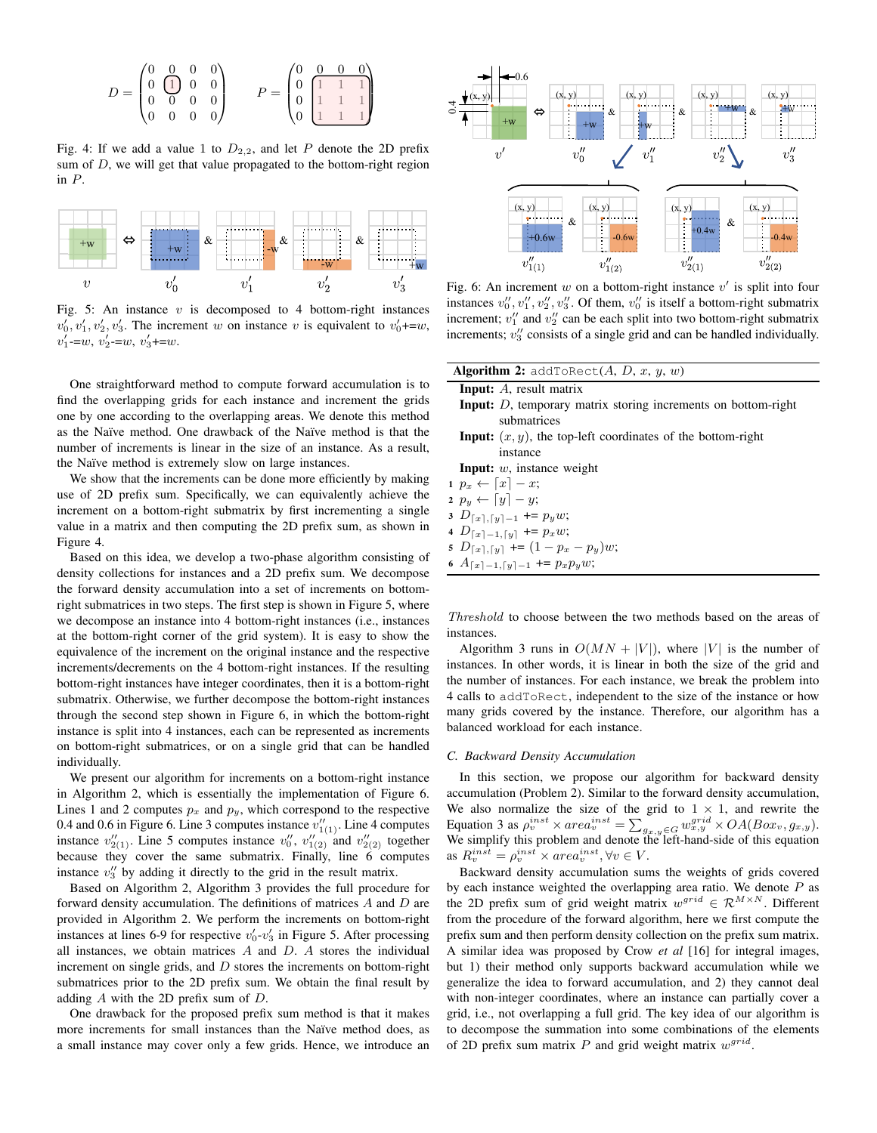

Fig. 4: If we add a value 1 to  $D_{2,2}$ , and let P denote the 2D prefix sum of  $D$ , we will get that value propagated to the bottom-right region in P.



Fig. 5: An instance  $v$  is decomposed to 4 bottom-right instances  $v'_0, v'_1, v'_2, v'_3$ . The increment w on instance v is equivalent to  $v'_0$ +=w,  $v'_1 = w, v'_2 = w, v'_3 + w$ 

One straightforward method to compute forward accumulation is to find the overlapping grids for each instance and increment the grids one by one according to the overlapping areas. We denote this method as the Na¨ıve method. One drawback of the Na¨ıve method is that the number of increments is linear in the size of an instance. As a result, the Naïve method is extremely slow on large instances.

We show that the increments can be done more efficiently by making use of 2D prefix sum. Specifically, we can equivalently achieve the increment on a bottom-right submatrix by first incrementing a single value in a matrix and then computing the 2D prefix sum, as shown in Figure 4.

Based on this idea, we develop a two-phase algorithm consisting of density collections for instances and a 2D prefix sum. We decompose the forward density accumulation into a set of increments on bottomright submatrices in two steps. The first step is shown in Figure 5, where we decompose an instance into 4 bottom-right instances (i.e., instances at the bottom-right corner of the grid system). It is easy to show the equivalence of the increment on the original instance and the respective increments/decrements on the 4 bottom-right instances. If the resulting bottom-right instances have integer coordinates, then it is a bottom-right submatrix. Otherwise, we further decompose the bottom-right instances through the second step shown in Figure 6, in which the bottom-right instance is split into 4 instances, each can be represented as increments on bottom-right submatrices, or on a single grid that can be handled individually.

We present our algorithm for increments on a bottom-right instance in Algorithm 2, which is essentially the implementation of Figure 6. Lines 1 and 2 computes  $p_x$  and  $p_y$ , which correspond to the respective 0.4 and 0.6 in Figure 6. Line 3 computes instance  $v''_{1(1)}$ . Line 4 computes instance  $v''_{2(1)}$ . Line 5 computes instance  $v''_0$ ,  $v''_{1(2)}$  and  $v''_{2(2)}$  together because they cover the same submatrix. Finally, line 6 computes instance  $v_3''$  by adding it directly to the grid in the result matrix.

Based on Algorithm 2, Algorithm 3 provides the full procedure for forward density accumulation. The definitions of matrices A and D are provided in Algorithm 2. We perform the increments on bottom-right instances at lines 6-9 for respective  $v'_0$ - $v'_3$  in Figure 5. After processing all instances, we obtain matrices  $A$  and  $D$ .  $A$  stores the individual increment on single grids, and  $D$  stores the increments on bottom-right submatrices prior to the 2D prefix sum. We obtain the final result by adding A with the 2D prefix sum of D.

One drawback for the proposed prefix sum method is that it makes more increments for small instances than the Naïve method does, as a small instance may cover only a few grids. Hence, we introduce an



Fig. 6: An increment w on a bottom-right instance  $v'$  is split into four instances  $v''_0, v''_1, v''_2, v''_3$ . Of them,  $v''_0$  is itself a bottom-right submatrix increment;  $v_1''$  and  $v_2''$  can be each split into two bottom-right submatrix increments;  $v_3''$  consists of a single grid and can be handled individually.

| <b>Algorithm 2:</b> addToRect $(A, D, x, y, w)$                       |
|-----------------------------------------------------------------------|
| <b>Input:</b> A, result matrix                                        |
| <b>Input:</b> D, temporary matrix storing increments on bottom-right  |
| submatrices                                                           |
| <b>Input:</b> $(x, y)$ , the top-left coordinates of the bottom-right |
| instance                                                              |
| <b>Input:</b> $w$ , instance weight                                   |
| $p_x \leftarrow [x] - x;$                                             |

2  $p_y \leftarrow [y] - y;$ 

- 3  $D_{\lceil x \rceil, \lceil y \rceil 1}$  +=  $p_y w$ ;
- 4  $D_{\lceil x \rceil -1, \lceil y \rceil}$  +=  $p_x w$ ;
- 5  $D_{\lceil x \rceil, \lceil y \rceil}$  +=  $(1 p_x p_y)w;$
- 6  $A_{\lceil x \rceil 1, \lceil y \rceil 1}$  +=  $p_x p_y w$ ;

Threshold to choose between the two methods based on the areas of instances.

Algorithm 3 runs in  $O(MN + |V|)$ , where |V| is the number of instances. In other words, it is linear in both the size of the grid and the number of instances. For each instance, we break the problem into 4 calls to addToRect, independent to the size of the instance or how many grids covered by the instance. Therefore, our algorithm has a balanced workload for each instance.

# *C. Backward Density Accumulation*

In this section, we propose our algorithm for backward density accumulation (Problem 2). Similar to the forward density accumulation, We also normalize the size of the grid to  $1 \times 1$ , and rewrite the Equation 3 as  $\rho_v^{inst} \times area_v^{inst} = \sum_{g_{x,y} \in G} w_{x,y}^{grid} \times OA(Box_v, g_{x,y}).$ We simplify this problem and denote the left-hand-side of this equation as  $R_v^{inst} = \rho_v^{inst} \times area_v^{inst}, \forall v \in V.$ 

Backward density accumulation sums the weights of grids covered by each instance weighted the overlapping area ratio. We denote  $P$  as the 2D prefix sum of grid weight matrix  $w^{grid} \in \mathcal{R}^{M \times N}$ . Different from the procedure of the forward algorithm, here we first compute the prefix sum and then perform density collection on the prefix sum matrix. A similar idea was proposed by Crow *et al* [16] for integral images, but 1) their method only supports backward accumulation while we generalize the idea to forward accumulation, and 2) they cannot deal with non-integer coordinates, where an instance can partially cover a grid, i.e., not overlapping a full grid. The key idea of our algorithm is to decompose the summation into some combinations of the elements of 2D prefix sum matrix  $P$  and grid weight matrix  $w^{grid}$ .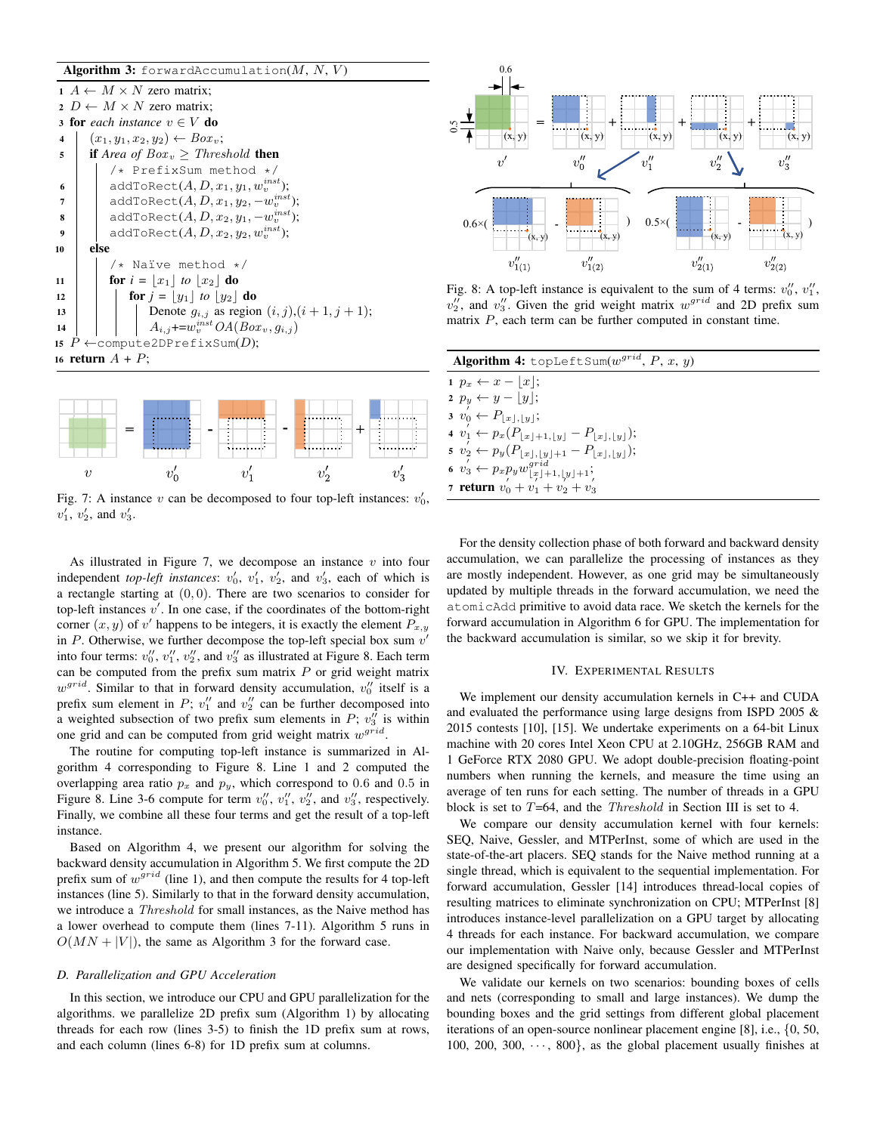Algorithm 3: forwardAccumulation $(M, N, V)$ 



Fig. 7: A instance  $v$  can be decomposed to four top-left instances:  $v'_0$ ,  $v'_1, v'_2, \text{ and } v'_3.$ 

As illustrated in Figure 7, we decompose an instance  $v$  into four independent *top-left instances*:  $v'_0$ ,  $v'_1$ ,  $v'_2$ , and  $v'_3$ , each of which is a rectangle starting at  $(0, 0)$ . There are two scenarios to consider for top-left instances  $v'$ . In one case, if the coordinates of the bottom-right corner  $(x, y)$  of v' happens to be integers, it is exactly the element  $P_{x,y}$ in  $P$ . Otherwise, we further decompose the top-left special box sum  $v'$ into four terms:  $v''_0$ ,  $v''_1$ ,  $v''_2$ , and  $v''_3$  as illustrated at Figure 8. Each term can be computed from the prefix sum matrix  $P$  or grid weight matrix  $w^{grid}$ . Similar to that in forward density accumulation,  $v''_0$  itself is a prefix sum element in P;  $v_1''$  and  $v_2''$  can be further decomposed into a weighted subsection of two prefix sum elements in  $P$ ;  $v''_3$  is within one grid and can be computed from grid weight matrix  $w^{grid}$ .

The routine for computing top-left instance is summarized in Algorithm 4 corresponding to Figure 8. Line 1 and 2 computed the overlapping area ratio  $p_x$  and  $p_y$ , which correspond to 0.6 and 0.5 in Figure 8. Line 3-6 compute for term  $v''_0$ ,  $v''_1$ ,  $v''_2$ , and  $v''_3$ , respectively. Finally, we combine all these four terms and get the result of a top-left instance.

Based on Algorithm 4, we present our algorithm for solving the backward density accumulation in Algorithm 5. We first compute the 2D prefix sum of  $w^{grid}$  (line 1), and then compute the results for 4 top-left instances (line 5). Similarly to that in the forward density accumulation, we introduce a Threshold for small instances, as the Naive method has a lower overhead to compute them (lines 7-11). Algorithm 5 runs in  $O(MN + |V|)$ , the same as Algorithm 3 for the forward case.

# *D. Parallelization and GPU Acceleration*

In this section, we introduce our CPU and GPU parallelization for the algorithms. we parallelize 2D prefix sum (Algorithm 1) by allocating threads for each row (lines 3-5) to finish the 1D prefix sum at rows, and each column (lines 6-8) for 1D prefix sum at columns.



Fig. 8: A top-left instance is equivalent to the sum of 4 terms:  $v''_0$ ,  $v''_1$ ,  $v_2''$ , and  $v_3''$ . Given the grid weight matrix  $w^{grid}$  and 2D prefix sum matrix  $P$ , each term can be further computed in constant time.

| <b>Algorithm 4:</b> topLeftSum( $w^{grid}$ , P, x, y)                                                              |
|--------------------------------------------------------------------------------------------------------------------|
| $1\;\,p_x \leftarrow x -  x ;$                                                                                     |
| 2 $p_y \leftarrow y - \lfloor y \rfloor$ ;                                                                         |
| $3 \ v_0 \leftarrow P_{\lfloor x \rfloor, \lfloor y \rfloor};$                                                     |
| 4 $v_1' \leftarrow p_x(P_{\lfloor x \rfloor+1,\lfloor y \rfloor} - P_{\lfloor x \rfloor,\lfloor y \rfloor});$      |
| 5 $v_2^{'} \leftarrow p_y(P_{\lfloor x \rfloor, \lfloor y \rfloor+1} - P_{\lfloor x \rfloor, \lfloor y \rfloor});$ |
| 6 $v_3' \leftarrow p_x p_y w_{\lfloor x \rfloor + 1, \lfloor y \rfloor + 1}^{grid}$                                |
| 7 <b>return</b> $v_0 + v_1 + v_2 + v_3$                                                                            |

For the density collection phase of both forward and backward density accumulation, we can parallelize the processing of instances as they are mostly independent. However, as one grid may be simultaneously updated by multiple threads in the forward accumulation, we need the atomicAdd primitive to avoid data race. We sketch the kernels for the forward accumulation in Algorithm 6 for GPU. The implementation for the backward accumulation is similar, so we skip it for brevity.

#### IV. EXPERIMENTAL RESULTS

We implement our density accumulation kernels in C++ and CUDA and evaluated the performance using large designs from ISPD 2005 & 2015 contests [10], [15]. We undertake experiments on a 64-bit Linux machine with 20 cores Intel Xeon CPU at 2.10GHz, 256GB RAM and 1 GeForce RTX 2080 GPU. We adopt double-precision floating-point numbers when running the kernels, and measure the time using an average of ten runs for each setting. The number of threads in a GPU block is set to  $T=64$ , and the *Threshold* in Section III is set to 4.

We compare our density accumulation kernel with four kernels: SEQ, Naive, Gessler, and MTPerInst, some of which are used in the state-of-the-art placers. SEQ stands for the Naive method running at a single thread, which is equivalent to the sequential implementation. For forward accumulation, Gessler [14] introduces thread-local copies of resulting matrices to eliminate synchronization on CPU; MTPerInst [8] introduces instance-level parallelization on a GPU target by allocating 4 threads for each instance. For backward accumulation, we compare our implementation with Naive only, because Gessler and MTPerInst are designed specifically for forward accumulation.

We validate our kernels on two scenarios: bounding boxes of cells and nets (corresponding to small and large instances). We dump the bounding boxes and the grid settings from different global placement iterations of an open-source nonlinear placement engine [8], i.e., {0, 50, 100, 200, 300,  $\cdots$ , 800}, as the global placement usually finishes at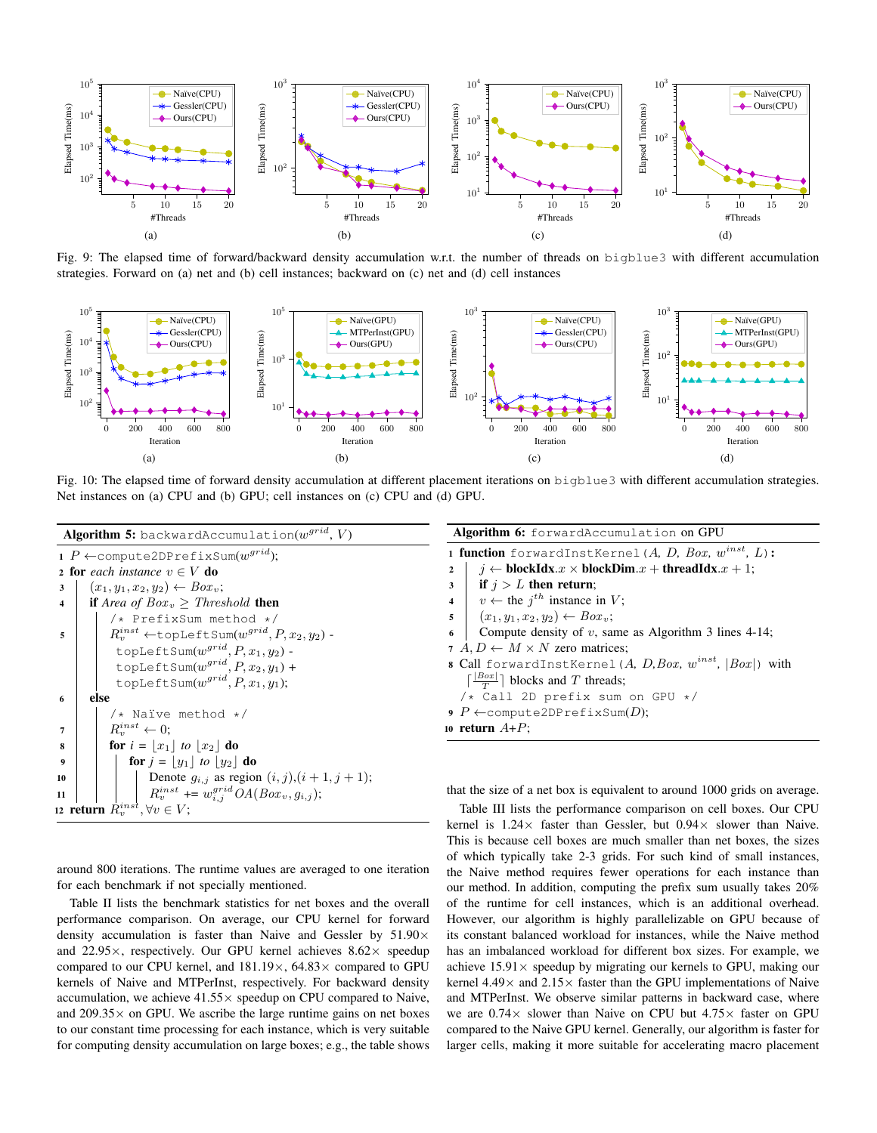

Fig. 9: The elapsed time of forward/backward density accumulation w.r.t. the number of threads on bigblue3 with different accumulation strategies. Forward on (a) net and (b) cell instances; backward on (c) net and (d) cell instances



Fig. 10: The elapsed time of forward density accumulation at different placement iterations on bigblue3 with different accumulation strategies. Net instances on (a) CPU and (b) GPU; cell instances on (c) CPU and (d) GPU.



around 800 iterations. The runtime values are averaged to one iteration for each benchmark if not specially mentioned.

Table II lists the benchmark statistics for net boxes and the overall performance comparison. On average, our CPU kernel for forward density accumulation is faster than Naive and Gessler by 51.90× and 22.95 $\times$ , respectively. Our GPU kernel achieves 8.62 $\times$  speedup compared to our CPU kernel, and  $181.19\times$ ,  $64.83\times$  compared to GPU kernels of Naive and MTPerInst, respectively. For backward density accumulation, we achieve  $41.55 \times$  speedup on CPU compared to Naive, and  $209.35\times$  on GPU. We ascribe the large runtime gains on net boxes to our constant time processing for each instance, which is very suitable for computing density accumulation on large boxes; e.g., the table shows

| <b>Algorithm 6:</b> forwardAccumulation on GPU                                                              |  |  |  |  |  |  |  |  |  |
|-------------------------------------------------------------------------------------------------------------|--|--|--|--|--|--|--|--|--|
| 1 function forwardInstKernel (A, D, Box, $w^{inst}$ , L):                                                   |  |  |  |  |  |  |  |  |  |
| $i \leftarrow \textbf{blockIdx}.x \times \textbf{blockDim}.x + \textbf{threadIdx}.x + 1;$<br>$\overline{2}$ |  |  |  |  |  |  |  |  |  |
| <b>if</b> $i > L$ then return;<br>3                                                                         |  |  |  |  |  |  |  |  |  |
| 4 $v \leftarrow$ the $j^{th}$ instance in V;                                                                |  |  |  |  |  |  |  |  |  |
| 5 $(x_1, y_1, x_2, y_2) \leftarrow Box_v;$                                                                  |  |  |  |  |  |  |  |  |  |
| Compute density of $v$ , same as Algorithm 3 lines 4-14;<br>6                                               |  |  |  |  |  |  |  |  |  |
| 7 $A, D \leftarrow M \times N$ zero matrices;                                                               |  |  |  |  |  |  |  |  |  |
| 8 Call forwardInstKernel (A, D, Box, $w^{inst}$ , $ Box $ ) with                                            |  |  |  |  |  |  |  |  |  |
| $\lceil \frac{ Box }{T} \rceil$ blocks and T threads;                                                       |  |  |  |  |  |  |  |  |  |
| /* Call 2D prefix sum on GPU */                                                                             |  |  |  |  |  |  |  |  |  |
| 9 P $\leftarrow$ compute2DP refixSum(D);                                                                    |  |  |  |  |  |  |  |  |  |
| 10 return $A+P$ ;                                                                                           |  |  |  |  |  |  |  |  |  |

that the size of a net box is equivalent to around 1000 grids on average.

Table III lists the performance comparison on cell boxes. Our CPU kernel is  $1.24 \times$  faster than Gessler, but  $0.94 \times$  slower than Naive. This is because cell boxes are much smaller than net boxes, the sizes of which typically take 2-3 grids. For such kind of small instances, the Naive method requires fewer operations for each instance than our method. In addition, computing the prefix sum usually takes 20% of the runtime for cell instances, which is an additional overhead. However, our algorithm is highly parallelizable on GPU because of its constant balanced workload for instances, while the Naive method has an imbalanced workload for different box sizes. For example, we achieve  $15.91 \times$  speedup by migrating our kernels to GPU, making our kernel  $4.49 \times$  and  $2.15 \times$  faster than the GPU implementations of Naive and MTPerInst. We observe similar patterns in backward case, where we are 0.74× slower than Naive on CPU but 4.75× faster on GPU compared to the Naive GPU kernel. Generally, our algorithm is faster for larger cells, making it more suitable for accelerating macro placement